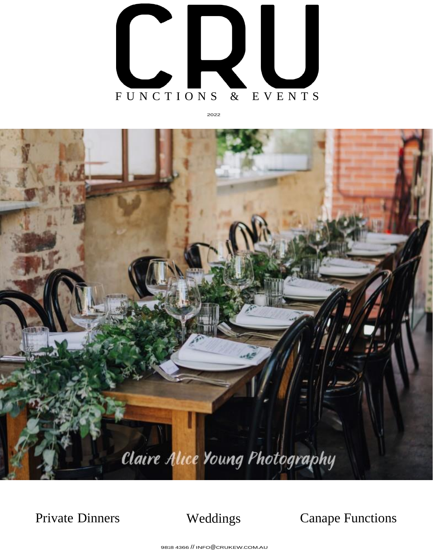

2022



Private Dinners Weddings Canape Functions

9818 4366 // INFO@[CRUKEW](mailto:INFO@CRUKEW.COM.AU).COM.AU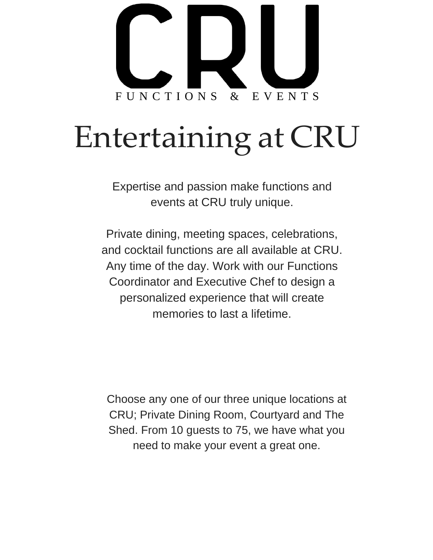

# Entertaining at CRU

Expertise and passion make functions and events at CRU truly unique.

Private dining, meeting spaces, celebrations, and cocktail functions are all available at CRU. Any time of the day. Work with our Functions Coordinator and Executive Chef to design a personalized experience that will create memories to last a lifetime.

Choose any one of our three unique locations at CRU; Private Dining Room, Courtyard and The Shed. From 10 guests to 75, we have what you need to make your event a great one.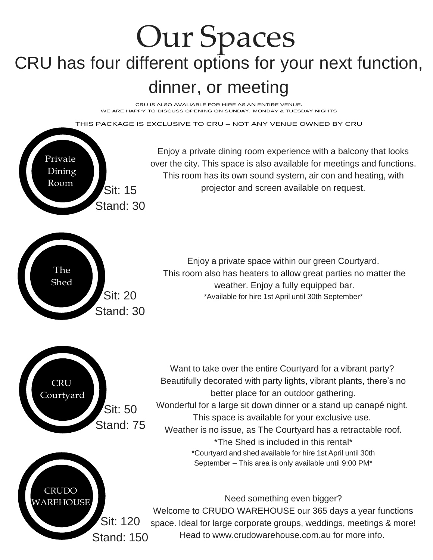### Our Spaces CRU has four different options for your next function, dinner, or meeting

CRU IS ALSO AVALIABLE FOR HIRE AS AN ENTIRE VENUE. WE ARE HAPPY TO DISCUSS OPENING ON SUNDAY, MONDAY & TUESDAY NIGHTS

THIS PACKAGE IS EXCLUSIVE TO CRU – NOT ANY VENUE OWNED BY CRU

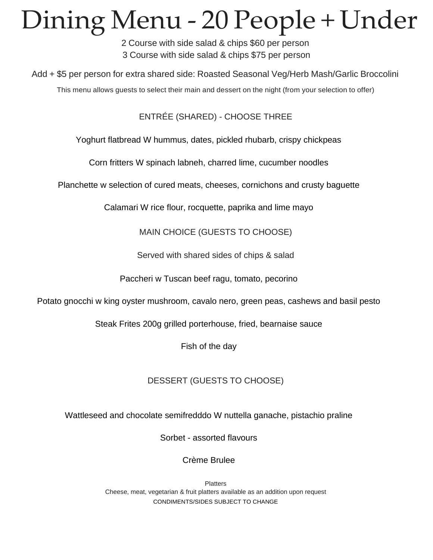## Dining Menu - 20 People + Under

2 Course with side salad & chips \$60 per person 3 Course with side salad & chips \$75 per person

Add + \$5 per person for extra shared side: Roasted Seasonal Veg/Herb Mash/Garlic Broccolini

This menu allows guests to select their main and dessert on the night (from your selection to offer)

ENTRÉE (SHARED) - CHOOSE THREE

Yoghurt flatbread W hummus, dates, pickled rhubarb, crispy chickpeas

Corn fritters W spinach labneh, charred lime, cucumber noodles

Planchette w selection of cured meats, cheeses, cornichons and crusty baguette

Calamari W rice flour, rocquette, paprika and lime mayo

MAIN CHOICE (GUESTS TO CHOOSE)

Served with shared sides of chips & salad

Paccheri w Tuscan beef ragu, tomato, pecorino

Potato gnocchi w king oyster mushroom, cavalo nero, green peas, cashews and basil pesto

Steak Frites 200g grilled porterhouse, fried, bearnaise sauce

Fish of the day

#### DESSERT (GUESTS TO CHOOSE)

Wattleseed and chocolate semifredddo W nuttella ganache, pistachio praline

Sorbet - assorted flavours

#### Crème Brulee

**Platters** Cheese, meat, vegetarian & fruit platters available as an addition upon request CONDIMENTS/SIDES SUBJECT TO CHANGE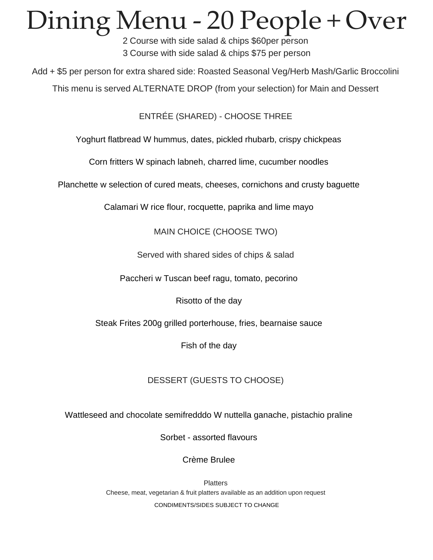## Dining Menu - 20 People + Over

2 Course with side salad & chips \$60per person 3 Course with side salad & chips \$75 per person

Add + \$5 per person for extra shared side: Roasted Seasonal Veg/Herb Mash/Garlic Broccolini

This menu is served ALTERNATE DROP (from your selection) for Main and Dessert

ENTRÉE (SHARED) - CHOOSE THREE

Yoghurt flatbread W hummus, dates, pickled rhubarb, crispy chickpeas

Corn fritters W spinach labneh, charred lime, cucumber noodles

Planchette w selection of cured meats, cheeses, cornichons and crusty baguette

Calamari W rice flour, rocquette, paprika and lime mayo

MAIN CHOICE (CHOOSE TWO)

Served with shared sides of chips & salad

Paccheri w Tuscan beef ragu, tomato, pecorino

Risotto of the day

Steak Frites 200g grilled porterhouse, fries, bearnaise sauce

Fish of the day

DESSERT (GUESTS TO CHOOSE)

Wattleseed and chocolate semifredddo W nuttella ganache, pistachio praline

Sorbet - assorted flavours

Crème Brulee

**Platters** Cheese, meat, vegetarian & fruit platters available as an addition upon request CONDIMENTS/SIDES SUBJECT TO CHANGE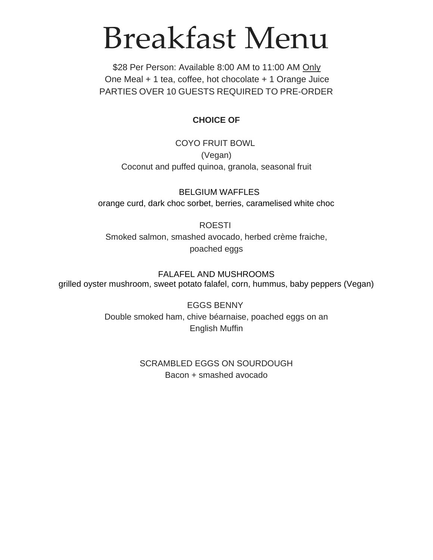## Breakfast Menu

\$28 Per Person: Available 8:00 AM to 11:00 AM Only One Meal + 1 tea, coffee, hot chocolate + 1 Orange Juice PARTIES OVER 10 GUESTS REQUIRED TO PRE-ORDER

#### **CHOICE OF**

COYO FRUIT BOWL (Vegan) Coconut and puffed quinoa, granola, seasonal fruit

BELGIUM WAFFLES orange curd, dark choc sorbet, berries, caramelised white choc

#### ROESTI

Smoked salmon, smashed avocado, herbed crème fraiche, poached eggs

FALAFEL AND MUSHROOMS grilled oyster mushroom, sweet potato falafel, corn, hummus, baby peppers (Vegan)

> EGGS BENNY Double smoked ham, chive béarnaise, poached eggs on an English Muffin

#### SCRAMBLED EGGS ON SOURDOUGH Bacon + smashed avocado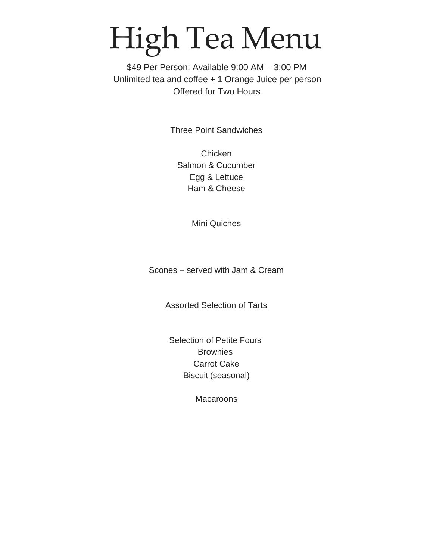# High Tea Menu

\$49 Per Person: Available 9:00 AM – 3:00 PM Unlimited tea and coffee + 1 Orange Juice per person Offered for Two Hours

Three Point Sandwiches

Chicken Salmon & Cucumber Egg & Lettuce Ham & Cheese

Mini Quiches

Scones – served with Jam & Cream

Assorted Selection of Tarts

Selection of Petite Fours **Brownies** Carrot Cake Biscuit (seasonal)

**Macaroons**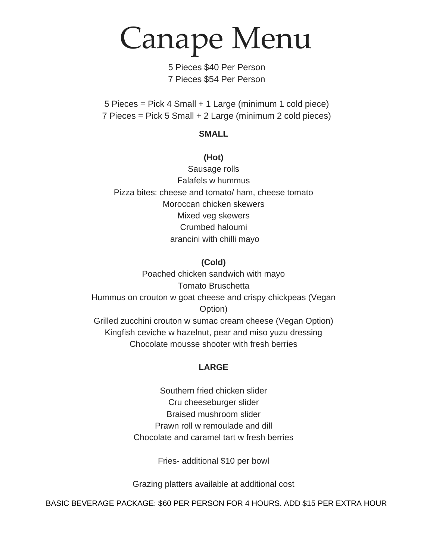Canape Menu

5 Pieces \$40 Per Person 7 Pieces \$54 Per Person

5 Pieces = Pick 4 Small + 1 Large (minimum 1 cold piece) 7 Pieces = Pick 5 Small + 2 Large (minimum 2 cold pieces)

#### **SMALL**

#### **(Hot)**

Sausage rolls Falafels w hummus Pizza bites: cheese and tomato/ ham, cheese tomato Moroccan chicken skewers Mixed veg skewers Crumbed haloumi arancini with chilli mayo

#### **(Cold)**

Poached chicken sandwich with mayo Tomato Bruschetta Hummus on crouton w goat cheese and crispy chickpeas (Vegan Option) Grilled zucchini crouton w sumac cream cheese (Vegan Option) Kingfish ceviche w hazelnut, pear and miso yuzu dressing Chocolate mousse shooter with fresh berries

#### **LARGE**

Southern fried chicken slider Cru cheeseburger slider Braised mushroom slider Prawn roll w remoulade and dill Chocolate and caramel tart w fresh berries

Fries- additional \$10 per bowl

Grazing platters available at additional cost

BASIC BEVERAGE PACKAGE: \$60 PER PERSON FOR 4 HOURS. ADD \$15 PER EXTRA HOUR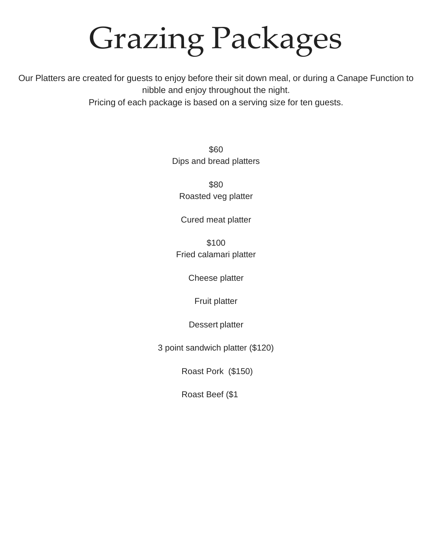# Grazing Packages

Our Platters are created for guests to enjoy before their sit down meal, or during a Canape Function to nibble and enjoy throughout the night.

Pricing of each package is based on a serving size for ten guests.

\$60 Dips and bread platters

\$80 Roasted veg platter

Cured meat platter

\$100 Fried calamari platter

Cheese platter

Fruit platter

Dessert platter

3 point sandwich platter (\$120)

Roast Pork (\$150)

Roast Beef (\$1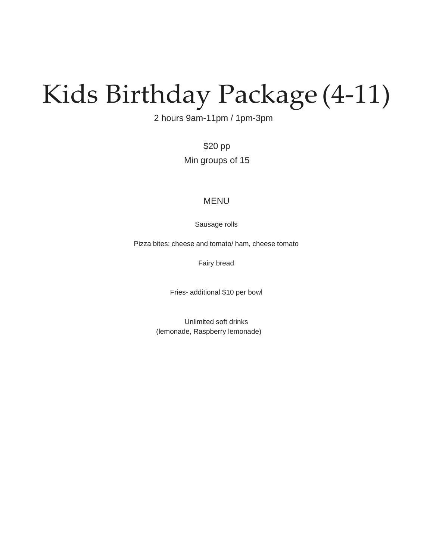## Kids Birthday Package (4-11)

2 hours 9am-11pm / 1pm-3pm

\$20 pp Min groups of 15

#### MENU

Sausage rolls

Pizza bites: cheese and tomato/ ham, cheese tomato

Fairy bread

Fries- additional \$10 per bowl

Unlimited soft drinks (lemonade, Raspberry lemonade)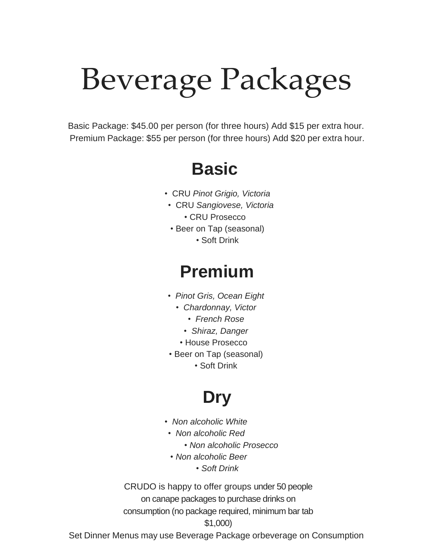# Beverage Packages

Basic Package: \$45.00 per person (for three hours) Add \$15 per extra hour. Premium Package: \$55 per person (for three hours) Add \$20 per extra hour.

### **Basic**

- CRU *Pinot Grigio, Victoria*
- CRU *Sangiovese, Victoria*
	- CRU Prosecco
- Beer on Tap (seasonal)
	- Soft Drink

### **Premium**

- *Pinot Gris, Ocean Eight*
	- *• Chardonnay, Victor*
		- *• French Rose*
		- *• Shiraz, Danger*
	- House Prosecco
- Beer on Tap (seasonal)
	- Soft Drink

### **Dry**

- *Non alcoholic White*
- *Non alcoholic Red* 
	- *Non alcoholic Prosecco*
- *Non alcoholic Beer*
	- *Soft Drink*

CRUDO is happy to offer groups under 50 people on canape packages to purchase drinks on consumption (no package required, minimum bar tab \$1,000)

Set Dinner Menus may use Beverage Package orbeverage on Consumption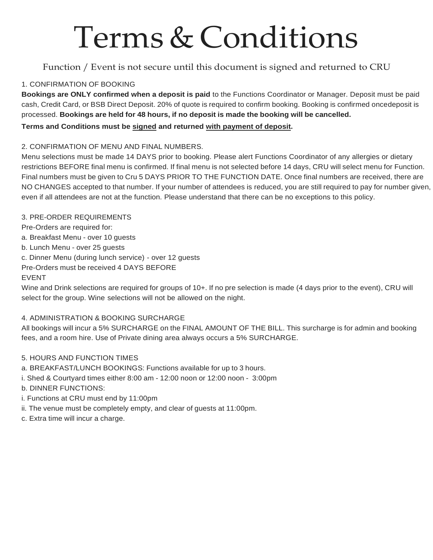## Terms & Conditions

#### Function / Event is not secure until this document is signed and returned to CRU

#### 1. CONFIRMATION OF BOOKING

**Bookings are ONLY confirmed when a deposit is paid** to the Functions Coordinator or Manager. Deposit must be paid cash, Credit Card, or BSB Direct Deposit. 20% of quote is required to confirm booking. Booking is confirmed oncedeposit is processed. **Bookings are held for 48 hours, if no deposit is made the booking will be cancelled.**

#### **Terms and Conditions must be signed and returned with payment of deposit.**

#### 2. CONFIRMATION OF MENU AND FINAL NUMBERS.

Menu selections must be made 14 DAYS prior to booking. Please alert Functions Coordinator of any allergies or dietary restrictions BEFORE final menu is confirmed. If final menu is not selected before 14 days, CRU will select menu for Function. Final numbers must be given to Cru 5 DAYS PRIOR TO THE FUNCTION DATE. Once final numbers are received, there are NO CHANGES accepted to that number. If your number of attendees is reduced, you are still required to pay for number given, even if all attendees are not at the function. Please understand that there can be no exceptions to this policy.

#### 3. PRE-ORDER REQUIREMENTS

Pre-Orders are required for:

- a. Breakfast Menu over 10 guests
- b. Lunch Menu over 25 guests

c. Dinner Menu (during lunch service) - over 12 guests

Pre-Orders must be received 4 DAYS BEFORE

#### EVENT

Wine and Drink selections are required for groups of 10+. If no pre selection is made (4 days prior to the event), CRU will select for the group. Wine selections will not be allowed on the night.

#### 4. ADMINISTRATION & BOOKING SURCHARGE

All bookings will incur a 5% SURCHARGE on the FINAL AMOUNT OF THE BILL. This surcharge is for admin and booking fees, and a room hire. Use of Private dining area always occurs a 5% SURCHARGE.

#### 5. HOURS AND FUNCTION TIMES

- a. BREAKFAST/LUNCH BOOKINGS: Functions available for up to 3 hours.
- i. Shed & Courtyard times either 8:00 am 12:00 noon or 12:00 noon 3:00pm
- b. DINNER FUNCTIONS:
- i. Functions at CRU must end by 11:00pm
- ii. The venue must be completely empty, and clear of guests at 11:00pm.
- c. Extra time will incur a charge.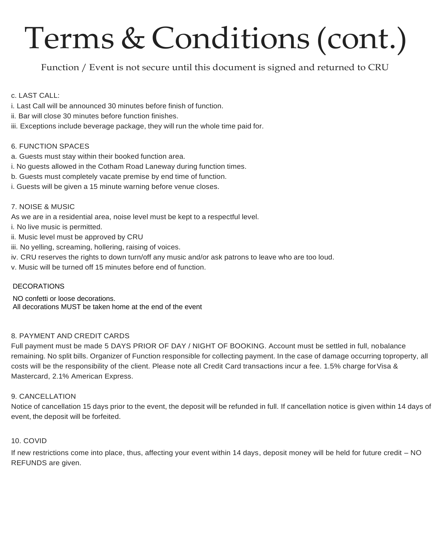# Terms & Conditions (cont.)

Function / Event is not secure until this document is signed and returned to CRU

#### c. LAST CALL:

- i. Last Call will be announced 30 minutes before finish of function.
- ii. Bar will close 30 minutes before function finishes.
- iii. Exceptions include beverage package, they will run the whole time paid for.

#### 6. FUNCTION SPACES

- a. Guests must stay within their booked function area.
- i. No guests allowed in the Cotham Road Laneway during function times.
- b. Guests must completely vacate premise by end time of function.
- i. Guests will be given a 15 minute warning before venue closes.

#### 7. NOISE & MUSIC

As we are in a residential area, noise level must be kept to a respectful level.

- i. No live music is permitted.
- ii. Music level must be approved by CRU
- iii. No yelling, screaming, hollering, raising of voices.
- iv. CRU reserves the rights to down turn/off any music and/or ask patrons to leave who are too loud.
- v. Music will be turned off 15 minutes before end of function.

#### DECORATIONS

NO confetti or loose decorations. All decorations MUST be taken home at the end of the event

#### 8. PAYMENT AND CREDIT CARDS

Full payment must be made 5 DAYS PRIOR OF DAY / NIGHT OF BOOKING. Account must be settled in full, nobalance remaining. No split bills. Organizer of Function responsible for collecting payment. In the case of damage occurring toproperty, all costs will be the responsibility of the client. Please note all Credit Card transactions incur a fee. 1.5% charge for Visa & Mastercard, 2.1% American Express.

#### 9. CANCELLATION

Notice of cancellation 15 days prior to the event, the deposit will be refunded in full. If cancellation notice is given within 14 days of event, the deposit will be forfeited.

#### 10. COVID

If new restrictions come into place, thus, affecting your event within 14 days, deposit money will be held for future credit – NO REFUNDS are given.